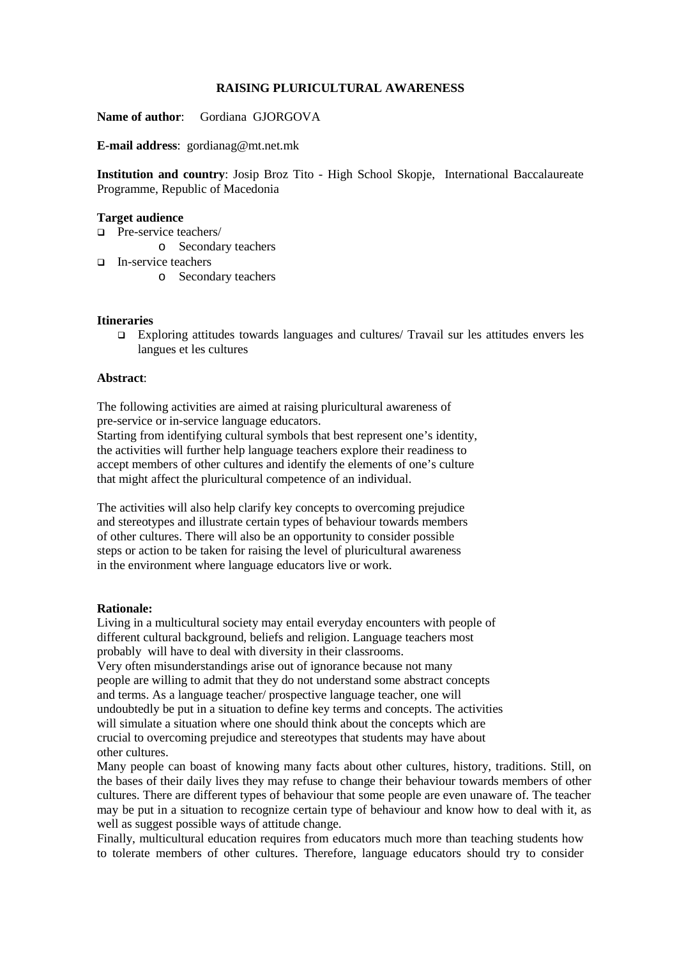### **RAISING PLURICULTURAL AWARENESS**

**Name of author**: Gordiana GJORGOVA

**E-mail address**: gordianag@mt.net.mk

**Institution and country**: Josip Broz Tito - High School Skopje, International Baccalaureate Programme, Republic of Macedonia

### **Target audience**

- □ Pre-service teachers/
	- o Secondary teachers
- In-service teachers
	- o Secondary teachers

### **Itineraries**

 Exploring attitudes towards languages and cultures/ Travail sur les attitudes envers les langues et les cultures

#### **Abstract**:

The following activities are aimed at raising pluricultural awareness of pre-service or in-service language educators.

Starting from identifying cultural symbols that best represent one's identity, the activities will further help language teachers explore their readiness to accept members of other cultures and identify the elements of one's culture that might affect the pluricultural competence of an individual.

The activities will also help clarify key concepts to overcoming prejudice and stereotypes and illustrate certain types of behaviour towards members of other cultures. There will also be an opportunity to consider possible steps or action to be taken for raising the level of pluricultural awareness in the environment where language educators live or work.

### **Rationale:**

Living in a multicultural society may entail everyday encounters with people of different cultural background, beliefs and religion. Language teachers most probably will have to deal with diversity in their classrooms.

Very often misunderstandings arise out of ignorance because not many people are willing to admit that they do not understand some abstract concepts and terms. As a language teacher/ prospective language teacher, one will undoubtedly be put in a situation to define key terms and concepts. The activities will simulate a situation where one should think about the concepts which are crucial to overcoming prejudice and stereotypes that students may have about other cultures.

Many people can boast of knowing many facts about other cultures, history, traditions. Still, on the bases of their daily lives they may refuse to change their behaviour towards members of other cultures. There are different types of behaviour that some people are even unaware of. The teacher may be put in a situation to recognize certain type of behaviour and know how to deal with it, as well as suggest possible ways of attitude change.

Finally, multicultural education requires from educators much more than teaching students how to tolerate members of other cultures. Therefore, language educators should try to consider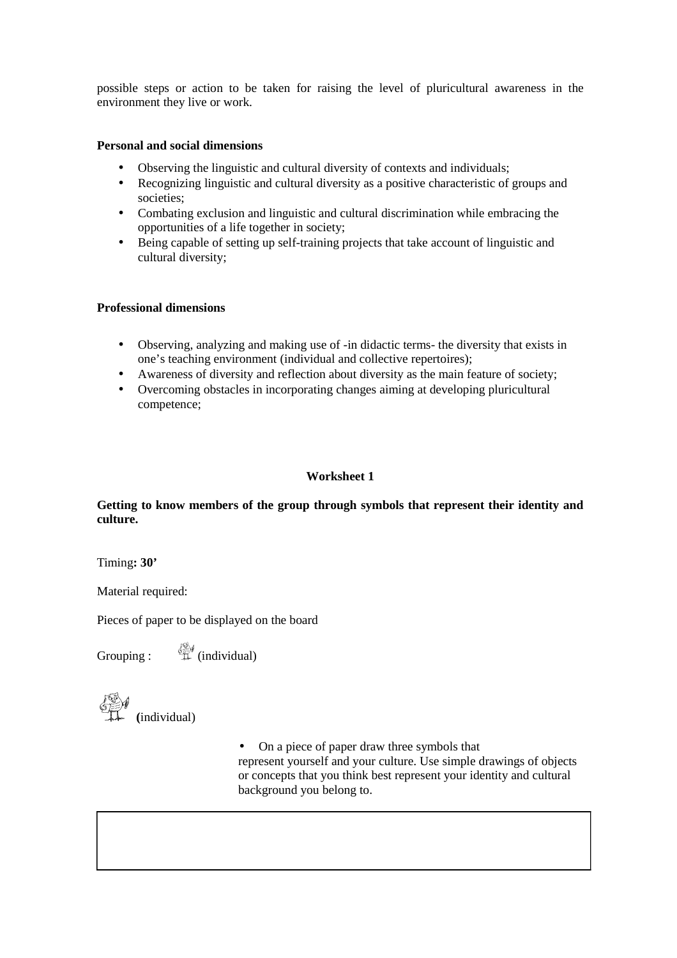possible steps or action to be taken for raising the level of pluricultural awareness in the environment they live or work.

# **Personal and social dimensions**

- Observing the linguistic and cultural diversity of contexts and individuals;
- Recognizing linguistic and cultural diversity as a positive characteristic of groups and societies;
- Combating exclusion and linguistic and cultural discrimination while embracing the opportunities of a life together in society;
- Being capable of setting up self-training projects that take account of linguistic and cultural diversity;

# **Professional dimensions**

- Observing, analyzing and making use of -in didactic terms- the diversity that exists in one's teaching environment (individual and collective repertoires);
- Awareness of diversity and reflection about diversity as the main feature of society;
- Overcoming obstacles in incorporating changes aiming at developing pluricultural competence;

# **Worksheet 1**

# **Getting to know members of the group through symbols that represent their identity and culture.**

Timing**: 30'**

Material required:

Pieces of paper to be displayed on the board

Grouping :  $\qquad \qquad \overset{\text{def}}{\Downarrow}$  (individual)

**(**individual)

• On a piece of paper draw three symbols that represent yourself and your culture. Use simple drawings of objects or concepts that you think best represent your identity and cultural background you belong to.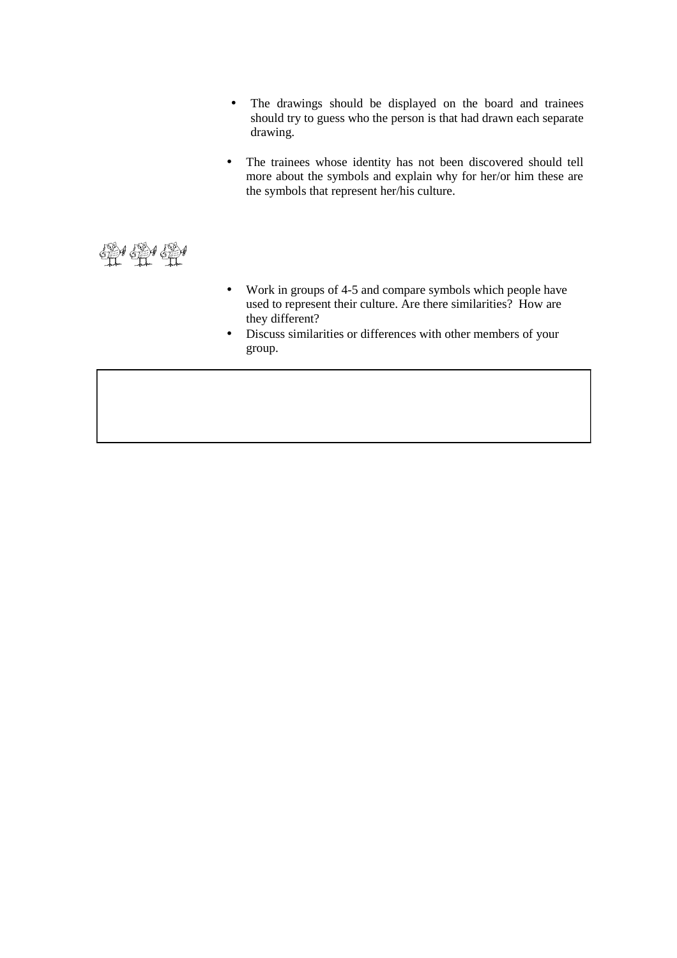- The drawings should be displayed on the board and trainees should try to guess who the person is that had drawn each separate drawing.
- The trainees whose identity has not been discovered should tell more about the symbols and explain why for her/or him these are the symbols that represent her/his culture.

单鱼鱼

- Work in groups of 4-5 and compare symbols which people have used to represent their culture. Are there similarities? How are they different?
- Discuss similarities or differences with other members of your group.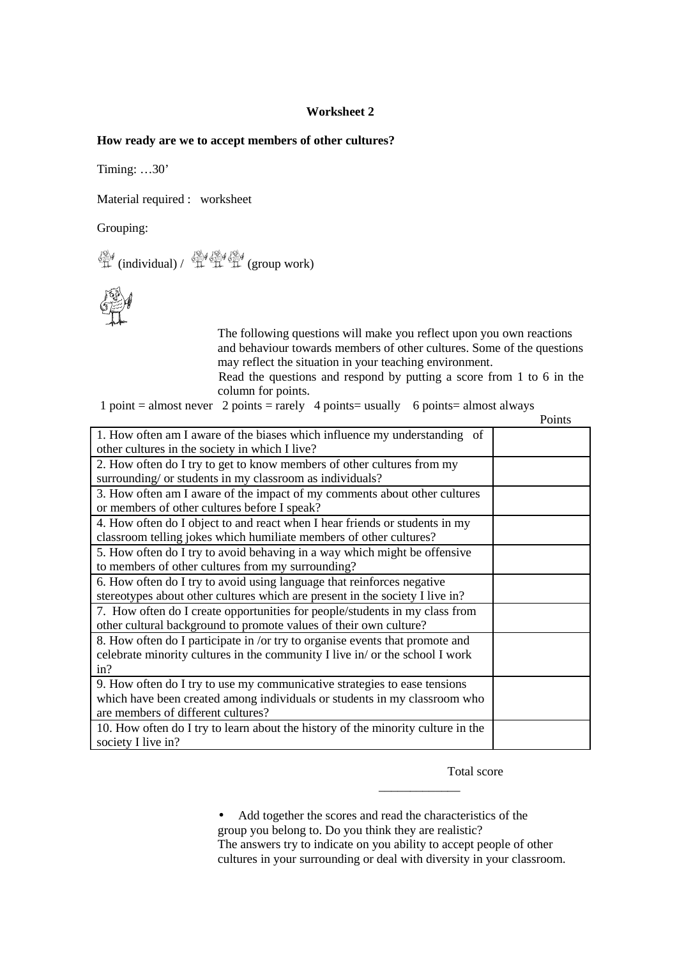### **Worksheet 2**

#### **How ready are we to accept members of other cultures?**

Timing: …30'

Material required : worksheet

Grouping:

 $\bigoplus\limits_{i=1}^{N}$  (individual) /  $\bigoplus\limits_{i=1}^{N}\bigoplus\limits_{i=1}^{N}$  (group work)



The following questions will make you reflect upon you own reactions and behaviour towards members of other cultures. Some of the questions may reflect the situation in your teaching environment.

Read the questions and respond by putting a score from 1 to 6 in the column for points.

|  |  |  | 1 point = almost never 2 points = rarely 4 points = usually 6 points = almost always |
|--|--|--|--------------------------------------------------------------------------------------|
|--|--|--|--------------------------------------------------------------------------------------|

Points

| 1. How often am I aware of the biases which influence my understanding of        |  |  |  |  |
|----------------------------------------------------------------------------------|--|--|--|--|
| other cultures in the society in which I live?                                   |  |  |  |  |
| 2. How often do I try to get to know members of other cultures from my           |  |  |  |  |
| surrounding/ or students in my classroom as individuals?                         |  |  |  |  |
| 3. How often am I aware of the impact of my comments about other cultures        |  |  |  |  |
| or members of other cultures before I speak?                                     |  |  |  |  |
| 4. How often do I object to and react when I hear friends or students in my      |  |  |  |  |
| classroom telling jokes which humiliate members of other cultures?               |  |  |  |  |
| 5. How often do I try to avoid behaving in a way which might be offensive        |  |  |  |  |
| to members of other cultures from my surrounding?                                |  |  |  |  |
| 6. How often do I try to avoid using language that reinforces negative           |  |  |  |  |
| stereotypes about other cultures which are present in the society I live in?     |  |  |  |  |
| 7. How often do I create opportunities for people/students in my class from      |  |  |  |  |
| other cultural background to promote values of their own culture?                |  |  |  |  |
| 8. How often do I participate in /or try to organise events that promote and     |  |  |  |  |
| celebrate minority cultures in the community I live in/or the school I work      |  |  |  |  |
| in?                                                                              |  |  |  |  |
| 9. How often do I try to use my communicative strategies to ease tensions        |  |  |  |  |
| which have been created among individuals or students in my classroom who        |  |  |  |  |
| are members of different cultures?                                               |  |  |  |  |
| 10. How often do I try to learn about the history of the minority culture in the |  |  |  |  |
| society I live in?                                                               |  |  |  |  |

Total score

• Add together the scores and read the characteristics of the group you belong to. Do you think they are realistic? The answers try to indicate on you ability to accept people of other cultures in your surrounding or deal with diversity in your classroom.

\_\_\_\_\_\_\_\_\_\_\_\_\_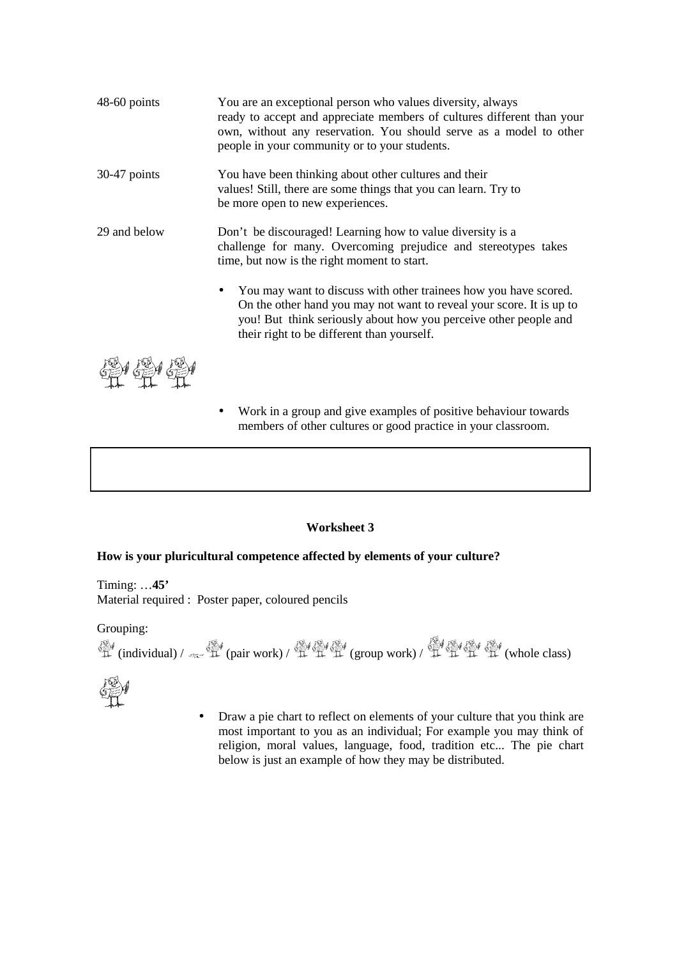| 48-60 points   | You are an exceptional person who values diversity, always<br>ready to accept and appreciate members of cultures different than your<br>own, without any reservation. You should serve as a model to other<br>people in your community or to your students.             |
|----------------|-------------------------------------------------------------------------------------------------------------------------------------------------------------------------------------------------------------------------------------------------------------------------|
| $30-47$ points | You have been thinking about other cultures and their<br>values! Still, there are some things that you can learn. Try to<br>be more open to new experiences.                                                                                                            |
| 29 and below   | Don't be discouraged! Learning how to value diversity is a<br>challenge for many. Overcoming prejudice and stereotypes takes<br>time, but now is the right moment to start.                                                                                             |
|                | You may want to discuss with other trainees how you have scored.<br>$\bullet$<br>On the other hand you may not want to reveal your score. It is up to<br>you! But think seriously about how you perceive other people and<br>their right to be different than yourself. |

SEY SEY SEY

• Work in a group and give examples of positive behaviour towards members of other cultures or good practice in your classroom.

### **Worksheet 3**

### **How is your pluricultural competence affected by elements of your culture?**

Timing: …**45'**  Material required : Poster paper, coloured pencils

Grouping:  $\mathbb{R}^4$  (individual) /  $\mathbb{R}^4$  (pair work) /  $\mathbb{R}^4$  (group work) /  $\mathbb{R}^4$   $\mathbb{R}^4$   $\mathbb{R}^4$  (whole class)



• Draw a pie chart to reflect on elements of your culture that you think are most important to you as an individual; For example you may think of religion, moral values, language, food, tradition etc... The pie chart below is just an example of how they may be distributed.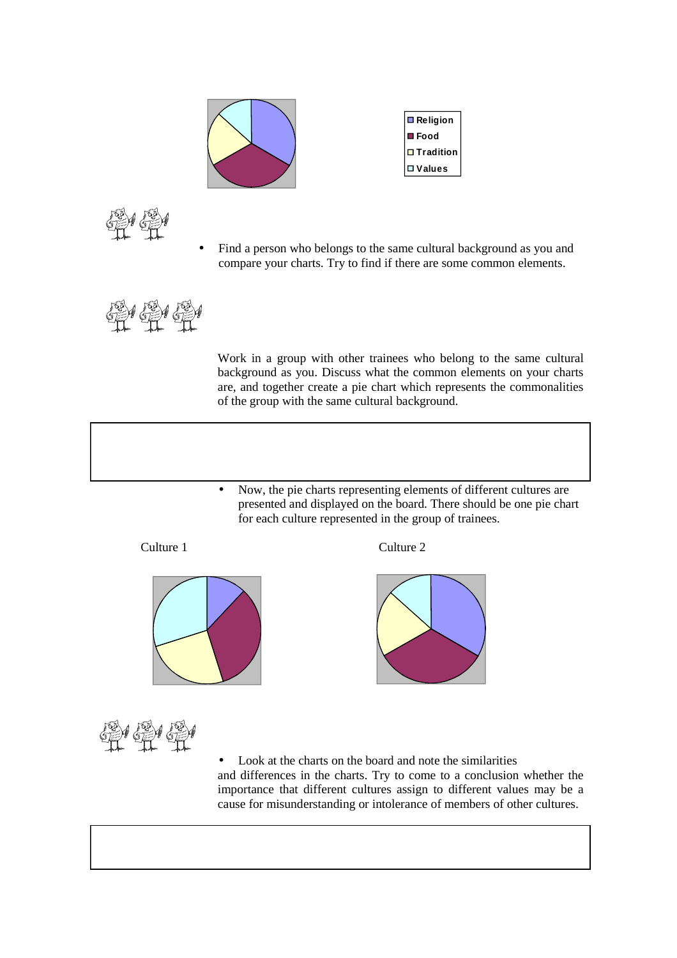

| Religion            |
|---------------------|
| <b>E</b> Food       |
| $\square$ Tradition |
| □ Values            |

• Find a person who belongs to the same cultural background as you and compare your charts. Try to find if there are some common elements.



Work in a group with other trainees who belong to the same cultural background as you. Discuss what the common elements on your charts are, and together create a pie chart which represents the commonalities of the group with the same cultural background.

• Now, the pie charts representing elements of different cultures are presented and displayed on the board. There should be one pie chart for each culture represented in the group of trainees.









 $M \leftrightarrow \Diamond$ 

• Look at the charts on the board and note the similarities and differences in the charts. Try to come to a conclusion whether the importance that different cultures assign to different values may be a cause for misunderstanding or intolerance of members of other cultures.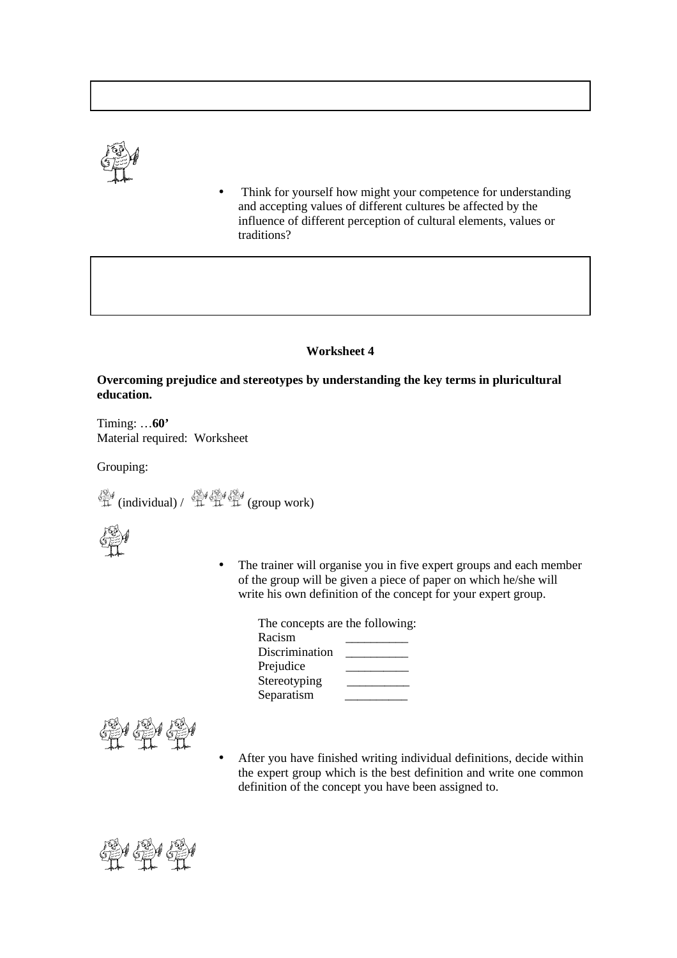

• Think for yourself how might your competence for understanding and accepting values of different cultures be affected by the influence of different perception of cultural elements, values or traditions?

### **Worksheet 4**

## **Overcoming prejudice and stereotypes by understanding the key terms in pluricultural education.**

Timing: …**60'**  Material required: Worksheet

Grouping:

 $\mathscr{H}$  (individual) /  $\mathscr{H}$   $\mathscr{H}$  (group work)



The trainer will organise you in five expert groups and each member of the group will be given a piece of paper on which he/she will write his own definition of the concept for your expert group.

| The concepts are the following: |  |
|---------------------------------|--|
|                                 |  |
| Discrimination                  |  |
|                                 |  |
| Stereotyping                    |  |
|                                 |  |
|                                 |  |

$$
\bigoplus_{i=1}^{\infty} \mathcal{H} \bigoplus_{i=1}^{\infty} \mathcal{H}
$$

• After you have finished writing individual definitions, decide within the expert group which is the best definition and write one common definition of the concept you have been assigned to.

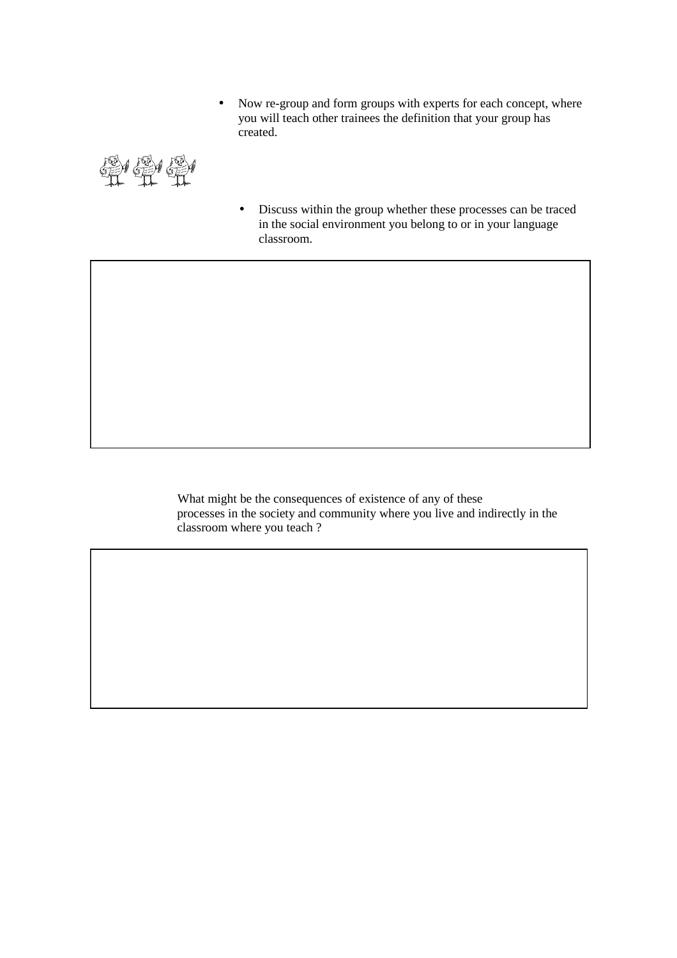• Now re-group and form groups with experts for each concept, where you will teach other trainees the definition that your group has created.

单单量

• Discuss within the group whether these processes can be traced in the social environment you belong to or in your language classroom.

What might be the consequences of existence of any of these processes in the society and community where you live and indirectly in the classroom where you teach ?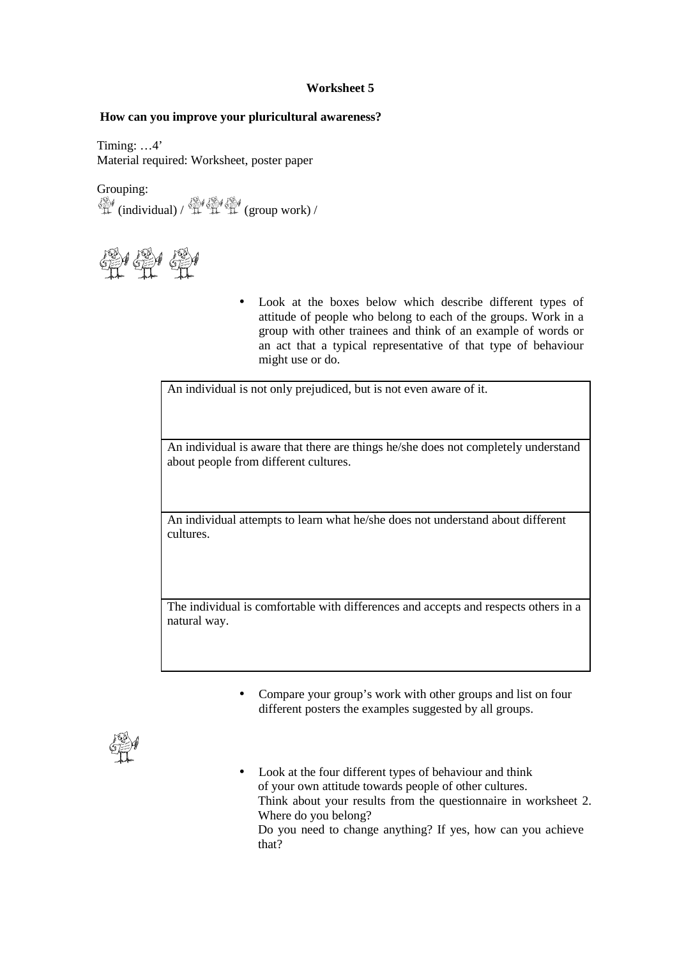# **Worksheet 5**

## **How can you improve your pluricultural awareness?**

Timing: …4' Material required: Worksheet, poster paper

Grouping:  $\mathscr{H}$  (individual)  $\mathscr{H}$   $\mathscr{H}$  (group work) /



• Look at the boxes below which describe different types of attitude of people who belong to each of the groups. Work in a group with other trainees and think of an example of words or an act that a typical representative of that type of behaviour might use or do.

An individual is not only prejudiced, but is not even aware of it.

An individual is aware that there are things he/she does not completely understand about people from different cultures.

An individual attempts to learn what he/she does not understand about different cultures.

The individual is comfortable with differences and accepts and respects others in a natural way.

> • Compare your group's work with other groups and list on four different posters the examples suggested by all groups.



• Look at the four different types of behaviour and think of your own attitude towards people of other cultures. Think about your results from the questionnaire in worksheet 2. Where do you belong? Do you need to change anything? If yes, how can you achieve that?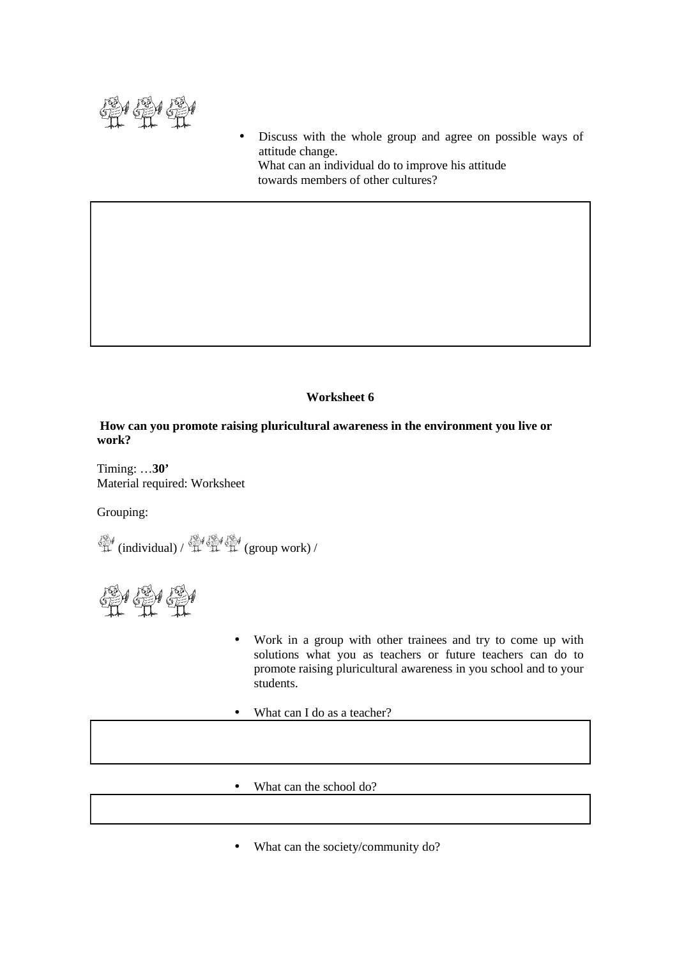

Discuss with the whole group and agree on possible ways of attitude change. What can an individual do to improve his attitude towards members of other cultures?

# **Worksheet 6**

**How can you promote raising pluricultural awareness in the environment you live or work?**

Timing: …**30'**  Material required: Worksheet

Grouping:

 $\mathcal{L}$  (individual) /  $\mathcal{L}$   $\mathcal{L}$  (group work) /

鼻便量

- Work in a group with other trainees and try to come up with solutions what you as teachers or future teachers can do to promote raising pluricultural awareness in you school and to your students.
- What can I do as a teacher?
- What can the school do?
- What can the society/community do?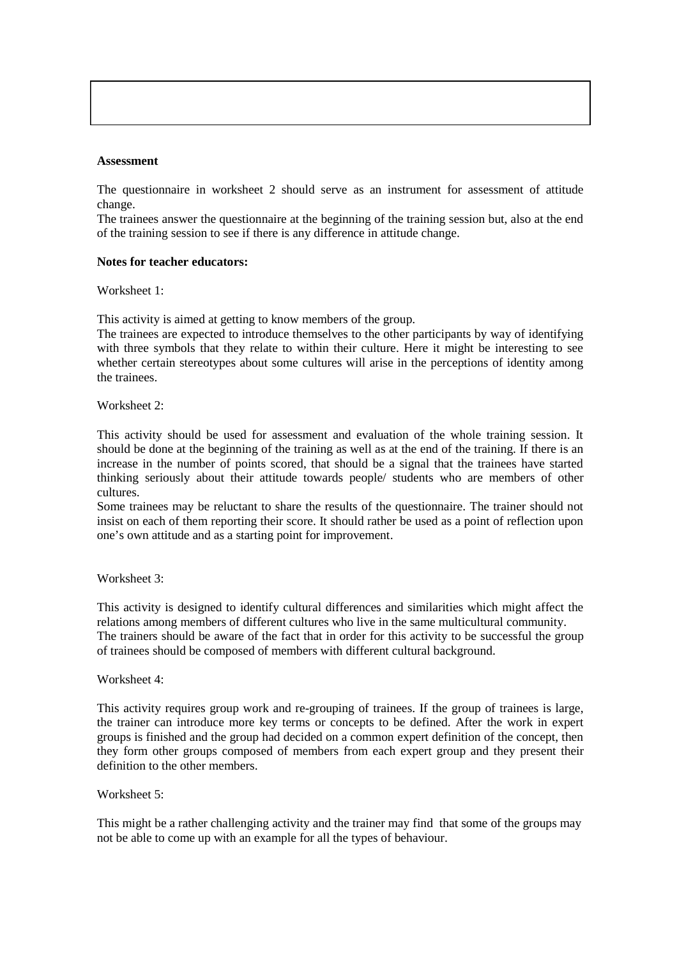#### **Assessment**

The questionnaire in worksheet 2 should serve as an instrument for assessment of attitude change.

The trainees answer the questionnaire at the beginning of the training session but, also at the end of the training session to see if there is any difference in attitude change.

#### **Notes for teacher educators:**

Worksheet 1:

This activity is aimed at getting to know members of the group.

The trainees are expected to introduce themselves to the other participants by way of identifying with three symbols that they relate to within their culture. Here it might be interesting to see whether certain stereotypes about some cultures will arise in the perceptions of identity among the trainees.

Worksheet 2:

This activity should be used for assessment and evaluation of the whole training session. It should be done at the beginning of the training as well as at the end of the training. If there is an increase in the number of points scored, that should be a signal that the trainees have started thinking seriously about their attitude towards people/ students who are members of other cultures.

Some trainees may be reluctant to share the results of the questionnaire. The trainer should not insist on each of them reporting their score. It should rather be used as a point of reflection upon one's own attitude and as a starting point for improvement.

Worksheet 3:

This activity is designed to identify cultural differences and similarities which might affect the relations among members of different cultures who live in the same multicultural community. The trainers should be aware of the fact that in order for this activity to be successful the group of trainees should be composed of members with different cultural background.

Worksheet 4:

This activity requires group work and re-grouping of trainees. If the group of trainees is large, the trainer can introduce more key terms or concepts to be defined. After the work in expert groups is finished and the group had decided on a common expert definition of the concept, then they form other groups composed of members from each expert group and they present their definition to the other members.

Worksheet 5:

This might be a rather challenging activity and the trainer may find that some of the groups may not be able to come up with an example for all the types of behaviour.